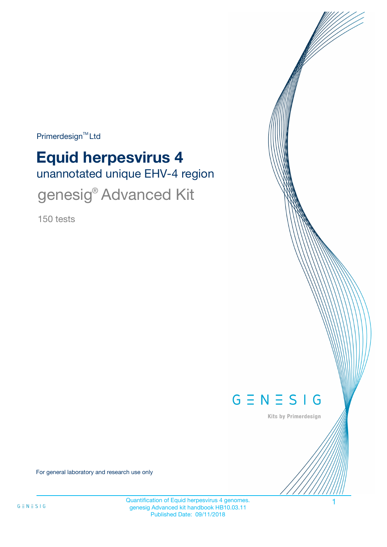$Primerdesign^{\text{TM}}$ Ltd

# unannotated unique EHV-4 region **Equid herpesvirus 4**

genesig<sup>®</sup> Advanced Kit

150 tests



Kits by Primerdesign

For general laboratory and research use only

Quantification of Equid herpesvirus 4 genomes. genesig Advanced kit handbook HB10.03.11 Published Date: 09/11/2018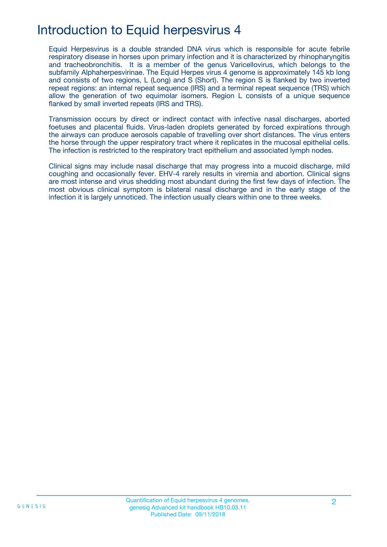## Introduction to Equid herpesvirus 4

Equid Herpesvirus is a double stranded DNA virus which is responsible for acute febrile respiratory disease in horses upon primary infection and it is characterized by rhinopharyngitis and tracheobronchitis. It is a member of the genus Varicellovirus, which belongs to the subfamily Alphaherpesvirinae. The Equid Herpes virus 4 genome is approximately 145 kb long and consists of two regions, L (Long) and S (Short). The region S is flanked by two inverted repeat regions: an internal repeat sequence (IRS) and a terminal repeat sequence (TRS) which allow the generation of two equimolar isomers. Region L consists of a unique sequence flanked by small inverted repeats (IRS and TRS).

Transmission occurs by direct or indirect contact with infective nasal discharges, aborted foetuses and placental fluids. Virus-laden droplets generated by forced expirations through the airways can produce aerosols capable of travelling over short distances. The virus enters the horse through the upper respiratory tract where it replicates in the mucosal epithelial cells. The infection is restricted to the respiratory tract epithelium and associated lymph nodes.

Clinical signs may include nasal discharge that may progress into a mucoid discharge, mild coughing and occasionally fever. EHV-4 rarely results in viremia and abortion. Clinical signs are most intense and virus shedding most abundant during the first few days of infection. The most obvious clinical symptom is bilateral nasal discharge and in the early stage of the infection it is largely unnoticed. The infection usually clears within one to three weeks.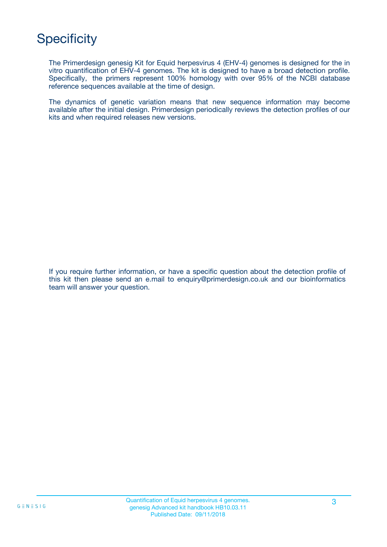# **Specificity**

The Primerdesign genesig Kit for Equid herpesvirus 4 (EHV-4) genomes is designed for the in vitro quantification of EHV-4 genomes. The kit is designed to have a broad detection profile. Specifically, the primers represent 100% homology with over 95% of the NCBI database reference sequences available at the time of design.

The dynamics of genetic variation means that new sequence information may become available after the initial design. Primerdesign periodically reviews the detection profiles of our kits and when required releases new versions.

If you require further information, or have a specific question about the detection profile of this kit then please send an e.mail to enquiry@primerdesign.co.uk and our bioinformatics team will answer your question.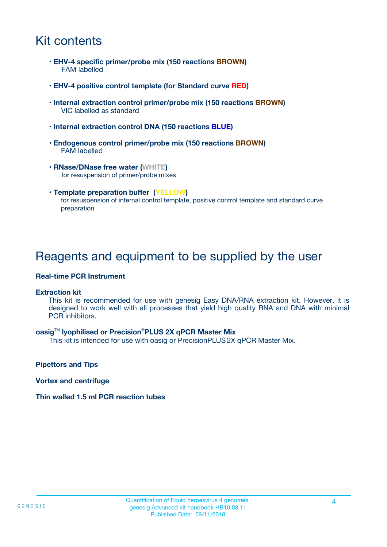## Kit contents

- **EHV-4 specific primer/probe mix (150 reactions BROWN)** FAM labelled
- **EHV-4 positive control template (for Standard curve RED)**
- **Internal extraction control primer/probe mix (150 reactions BROWN)** VIC labelled as standard
- **Internal extraction control DNA (150 reactions BLUE)**
- **Endogenous control primer/probe mix (150 reactions BROWN)** FAM labelled
- **RNase/DNase free water (WHITE)** for resuspension of primer/probe mixes
- **Template preparation buffer (YELLOW)** for resuspension of internal control template, positive control template and standard curve preparation

### Reagents and equipment to be supplied by the user

#### **Real-time PCR Instrument**

#### **Extraction kit**

This kit is recommended for use with genesig Easy DNA/RNA extraction kit. However, it is designed to work well with all processes that yield high quality RNA and DNA with minimal PCR inhibitors.

#### **oasig**TM **lyophilised or Precision**®**PLUS 2X qPCR Master Mix**

This kit is intended for use with oasig or PrecisionPLUS2X qPCR Master Mix.

**Pipettors and Tips**

**Vortex and centrifuge**

#### **Thin walled 1.5 ml PCR reaction tubes**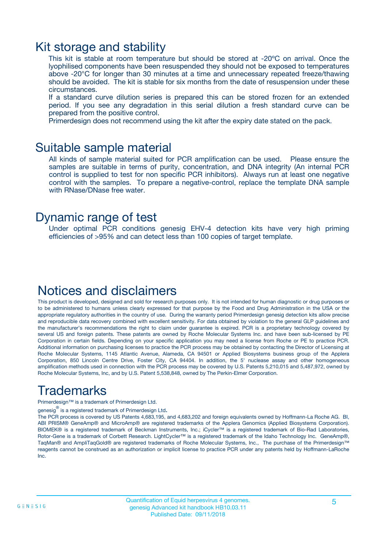### Kit storage and stability

This kit is stable at room temperature but should be stored at -20ºC on arrival. Once the lyophilised components have been resuspended they should not be exposed to temperatures above -20°C for longer than 30 minutes at a time and unnecessary repeated freeze/thawing should be avoided. The kit is stable for six months from the date of resuspension under these circumstances.

If a standard curve dilution series is prepared this can be stored frozen for an extended period. If you see any degradation in this serial dilution a fresh standard curve can be prepared from the positive control.

Primerdesign does not recommend using the kit after the expiry date stated on the pack.

### Suitable sample material

All kinds of sample material suited for PCR amplification can be used. Please ensure the samples are suitable in terms of purity, concentration, and DNA integrity (An internal PCR control is supplied to test for non specific PCR inhibitors). Always run at least one negative control with the samples. To prepare a negative-control, replace the template DNA sample with RNase/DNase free water.

### Dynamic range of test

Under optimal PCR conditions genesig EHV-4 detection kits have very high priming efficiencies of >95% and can detect less than 100 copies of target template.

## Notices and disclaimers

This product is developed, designed and sold for research purposes only. It is not intended for human diagnostic or drug purposes or to be administered to humans unless clearly expressed for that purpose by the Food and Drug Administration in the USA or the appropriate regulatory authorities in the country of use. During the warranty period Primerdesign genesig detection kits allow precise and reproducible data recovery combined with excellent sensitivity. For data obtained by violation to the general GLP guidelines and the manufacturer's recommendations the right to claim under guarantee is expired. PCR is a proprietary technology covered by several US and foreign patents. These patents are owned by Roche Molecular Systems Inc. and have been sub-licensed by PE Corporation in certain fields. Depending on your specific application you may need a license from Roche or PE to practice PCR. Additional information on purchasing licenses to practice the PCR process may be obtained by contacting the Director of Licensing at Roche Molecular Systems, 1145 Atlantic Avenue, Alameda, CA 94501 or Applied Biosystems business group of the Applera Corporation, 850 Lincoln Centre Drive, Foster City, CA 94404. In addition, the 5' nuclease assay and other homogeneous amplification methods used in connection with the PCR process may be covered by U.S. Patents 5,210,015 and 5,487,972, owned by Roche Molecular Systems, Inc, and by U.S. Patent 5,538,848, owned by The Perkin-Elmer Corporation.

# Trademarks

Primerdesign™ is a trademark of Primerdesign Ltd.

genesig $^\circledR$  is a registered trademark of Primerdesign Ltd.

The PCR process is covered by US Patents 4,683,195, and 4,683,202 and foreign equivalents owned by Hoffmann-La Roche AG. BI, ABI PRISM® GeneAmp® and MicroAmp® are registered trademarks of the Applera Genomics (Applied Biosystems Corporation). BIOMEK® is a registered trademark of Beckman Instruments, Inc.; iCycler™ is a registered trademark of Bio-Rad Laboratories, Rotor-Gene is a trademark of Corbett Research. LightCycler™ is a registered trademark of the Idaho Technology Inc. GeneAmp®, TaqMan® and AmpliTaqGold® are registered trademarks of Roche Molecular Systems, Inc., The purchase of the Primerdesign™ reagents cannot be construed as an authorization or implicit license to practice PCR under any patents held by Hoffmann-LaRoche Inc.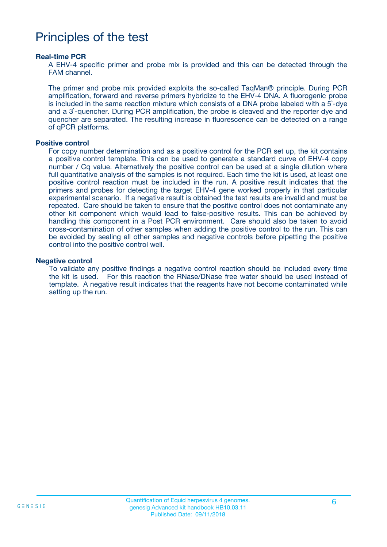### Principles of the test

#### **Real-time PCR**

A EHV-4 specific primer and probe mix is provided and this can be detected through the FAM channel.

The primer and probe mix provided exploits the so-called TaqMan® principle. During PCR amplification, forward and reverse primers hybridize to the EHV-4 DNA. A fluorogenic probe is included in the same reaction mixture which consists of a DNA probe labeled with a 5`-dye and a 3`-quencher. During PCR amplification, the probe is cleaved and the reporter dye and quencher are separated. The resulting increase in fluorescence can be detected on a range of qPCR platforms.

#### **Positive control**

For copy number determination and as a positive control for the PCR set up, the kit contains a positive control template. This can be used to generate a standard curve of EHV-4 copy number / Cq value. Alternatively the positive control can be used at a single dilution where full quantitative analysis of the samples is not required. Each time the kit is used, at least one positive control reaction must be included in the run. A positive result indicates that the primers and probes for detecting the target EHV-4 gene worked properly in that particular experimental scenario. If a negative result is obtained the test results are invalid and must be repeated. Care should be taken to ensure that the positive control does not contaminate any other kit component which would lead to false-positive results. This can be achieved by handling this component in a Post PCR environment. Care should also be taken to avoid cross-contamination of other samples when adding the positive control to the run. This can be avoided by sealing all other samples and negative controls before pipetting the positive control into the positive control well.

#### **Negative control**

To validate any positive findings a negative control reaction should be included every time the kit is used. For this reaction the RNase/DNase free water should be used instead of template. A negative result indicates that the reagents have not become contaminated while setting up the run.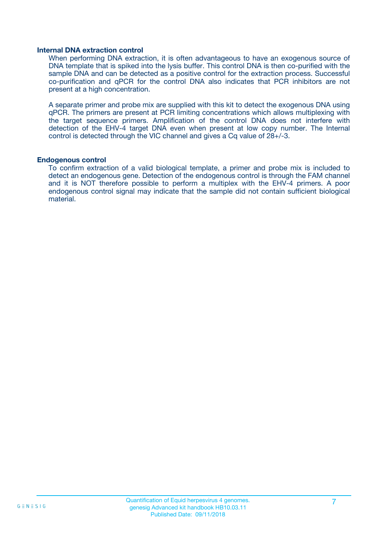#### **Internal DNA extraction control**

When performing DNA extraction, it is often advantageous to have an exogenous source of DNA template that is spiked into the lysis buffer. This control DNA is then co-purified with the sample DNA and can be detected as a positive control for the extraction process. Successful co-purification and qPCR for the control DNA also indicates that PCR inhibitors are not present at a high concentration.

A separate primer and probe mix are supplied with this kit to detect the exogenous DNA using qPCR. The primers are present at PCR limiting concentrations which allows multiplexing with the target sequence primers. Amplification of the control DNA does not interfere with detection of the EHV-4 target DNA even when present at low copy number. The Internal control is detected through the VIC channel and gives a Cq value of 28+/-3.

#### **Endogenous control**

To confirm extraction of a valid biological template, a primer and probe mix is included to detect an endogenous gene. Detection of the endogenous control is through the FAM channel and it is NOT therefore possible to perform a multiplex with the EHV-4 primers. A poor endogenous control signal may indicate that the sample did not contain sufficient biological material.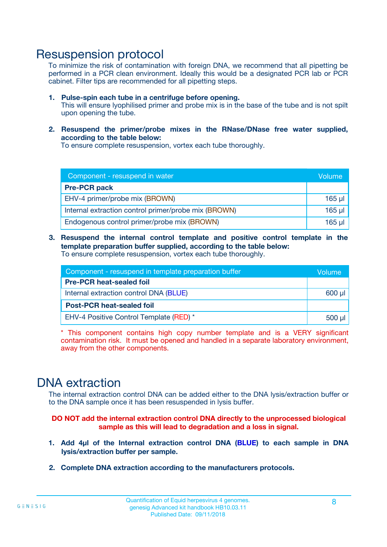### Resuspension protocol

To minimize the risk of contamination with foreign DNA, we recommend that all pipetting be performed in a PCR clean environment. Ideally this would be a designated PCR lab or PCR cabinet. Filter tips are recommended for all pipetting steps.

- **1. Pulse-spin each tube in a centrifuge before opening.** This will ensure lyophilised primer and probe mix is in the base of the tube and is not spilt upon opening the tube.
- **2. Resuspend the primer/probe mixes in the RNase/DNase free water supplied, according to the table below:**

To ensure complete resuspension, vortex each tube thoroughly.

| Component - resuspend in water                       |             |  |
|------------------------------------------------------|-------------|--|
| <b>Pre-PCR pack</b>                                  |             |  |
| EHV-4 primer/probe mix (BROWN)                       | $165$ µl    |  |
| Internal extraction control primer/probe mix (BROWN) | $165$ $\mu$ |  |
| Endogenous control primer/probe mix (BROWN)          | $165$ µl    |  |

**3. Resuspend the internal control template and positive control template in the template preparation buffer supplied, according to the table below:** To ensure complete resuspension, vortex each tube thoroughly.

| Component - resuspend in template preparation buffer |          |  |
|------------------------------------------------------|----------|--|
| <b>Pre-PCR heat-sealed foil</b>                      |          |  |
| Internal extraction control DNA (BLUE)               |          |  |
| <b>Post-PCR heat-sealed foil</b>                     |          |  |
| EHV-4 Positive Control Template (RED) *              | $500$ µl |  |

\* This component contains high copy number template and is a VERY significant contamination risk. It must be opened and handled in a separate laboratory environment, away from the other components.

### DNA extraction

The internal extraction control DNA can be added either to the DNA lysis/extraction buffer or to the DNA sample once it has been resuspended in lysis buffer.

**DO NOT add the internal extraction control DNA directly to the unprocessed biological sample as this will lead to degradation and a loss in signal.**

- **1. Add 4µl of the Internal extraction control DNA (BLUE) to each sample in DNA lysis/extraction buffer per sample.**
- **2. Complete DNA extraction according to the manufacturers protocols.**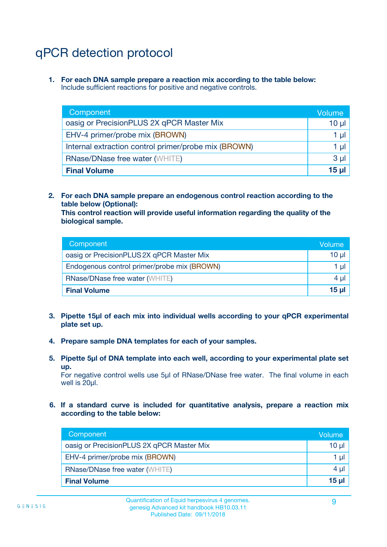# qPCR detection protocol

**1. For each DNA sample prepare a reaction mix according to the table below:** Include sufficient reactions for positive and negative controls.

| Component                                            | Volume   |
|------------------------------------------------------|----------|
| oasig or PrecisionPLUS 2X qPCR Master Mix            | $10 \mu$ |
| EHV-4 primer/probe mix (BROWN)                       | 1 µI     |
| Internal extraction control primer/probe mix (BROWN) | 1 µl     |
| <b>RNase/DNase free water (WHITE)</b>                | $3 \mu$  |
| <b>Final Volume</b>                                  | 15 µl    |

**2. For each DNA sample prepare an endogenous control reaction according to the table below (Optional):**

**This control reaction will provide useful information regarding the quality of the biological sample.**

| Component                                   | Volume          |
|---------------------------------------------|-----------------|
| oasig or PrecisionPLUS 2X qPCR Master Mix   | $10 \mu$        |
| Endogenous control primer/probe mix (BROWN) | 1 µI            |
| <b>RNase/DNase free water (WHITE)</b>       | 4 µl            |
| <b>Final Volume</b>                         | 15 <sub>µ</sub> |

- **3. Pipette 15µl of each mix into individual wells according to your qPCR experimental plate set up.**
- **4. Prepare sample DNA templates for each of your samples.**
- **5. Pipette 5µl of DNA template into each well, according to your experimental plate set up.**

For negative control wells use 5µl of RNase/DNase free water. The final volume in each well is 20ul.

**6. If a standard curve is included for quantitative analysis, prepare a reaction mix according to the table below:**

| Component                                 | Volume   |
|-------------------------------------------|----------|
| oasig or PrecisionPLUS 2X qPCR Master Mix | 10 µl    |
| EHV-4 primer/probe mix (BROWN)            | 1 µI     |
| <b>RNase/DNase free water (WHITE)</b>     | $4 \mu$  |
| <b>Final Volume</b>                       | $15 \mu$ |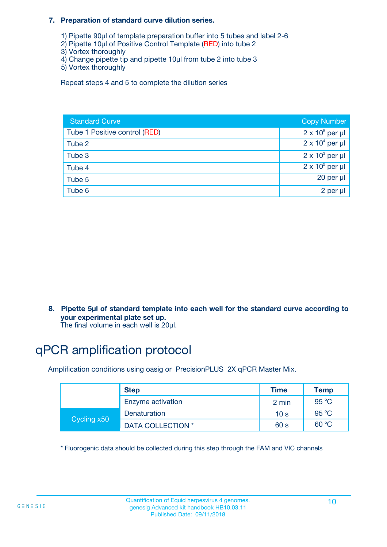#### **7. Preparation of standard curve dilution series.**

- 1) Pipette 90µl of template preparation buffer into 5 tubes and label 2-6
- 2) Pipette 10µl of Positive Control Template (RED) into tube 2
- 3) Vortex thoroughly
- 4) Change pipette tip and pipette 10µl from tube 2 into tube 3
- 5) Vortex thoroughly

Repeat steps 4 and 5 to complete the dilution series

| <b>Standard Curve</b>         | <b>Copy Number</b>     |
|-------------------------------|------------------------|
| Tube 1 Positive control (RED) | $2 \times 10^5$ per µl |
| Tube 2                        | $2 \times 10^4$ per µl |
| Tube 3                        | $2 \times 10^3$ per µl |
| Tube 4                        | $2 \times 10^2$ per µl |
| Tube 5                        | 20 per µl              |
| Tube 6                        | 2 per µl               |

**8. Pipette 5µl of standard template into each well for the standard curve according to your experimental plate set up.**

#### The final volume in each well is 20µl.

# qPCR amplification protocol

Amplification conditions using oasig or PrecisionPLUS 2X qPCR Master Mix.

|             | <b>Step</b>       | <b>Time</b>     | Temp    |
|-------------|-------------------|-----------------|---------|
|             | Enzyme activation | 2 min           | 95 °C   |
| Cycling x50 | Denaturation      | 10 <sub>s</sub> | 95 $°C$ |
|             | DATA COLLECTION * | 60 s            | 60 °C   |

\* Fluorogenic data should be collected during this step through the FAM and VIC channels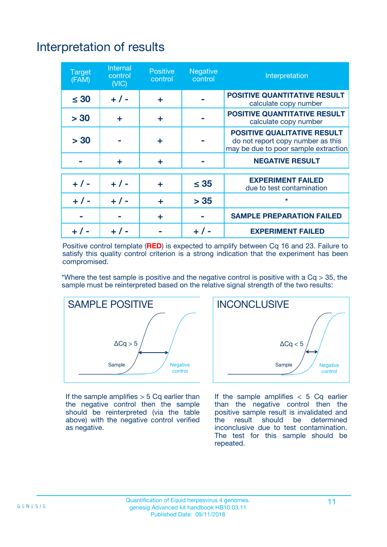# Interpretation of results

| <b>Target</b><br>(FAM) | <b>Internal</b><br>control<br>(NIC) | <b>Positive</b><br>control | <b>Negative</b><br>control | Interpretation                                                                                                  |
|------------------------|-------------------------------------|----------------------------|----------------------------|-----------------------------------------------------------------------------------------------------------------|
| $\leq 30$              | $+ 1 -$                             | ÷                          |                            | <b>POSITIVE QUANTITATIVE RESULT</b><br>calculate copy number                                                    |
| > 30                   | ٠                                   | ÷                          |                            | <b>POSITIVE QUANTITATIVE RESULT</b><br>calculate copy number                                                    |
| > 30                   |                                     | ÷                          |                            | <b>POSITIVE QUALITATIVE RESULT</b><br>do not report copy number as this<br>may be due to poor sample extraction |
|                        | ÷                                   | ÷                          |                            | <b>NEGATIVE RESULT</b>                                                                                          |
| $+ 1 -$                | $+ 1 -$                             | ÷                          | $\leq$ 35                  | <b>EXPERIMENT FAILED</b><br>due to test contamination                                                           |
| $+$ / -                | $+ 1 -$                             | ÷                          | > 35                       | $\star$                                                                                                         |
|                        |                                     | ÷                          |                            | <b>SAMPLE PREPARATION FAILED</b>                                                                                |
|                        |                                     |                            | $+$ /                      | <b>EXPERIMENT FAILED</b>                                                                                        |

Positive control template (**RED**) is expected to amplify between Cq 16 and 23. Failure to satisfy this quality control criterion is a strong indication that the experiment has been compromised.

\*Where the test sample is positive and the negative control is positive with a  $Ca > 35$ , the sample must be reinterpreted based on the relative signal strength of the two results:



If the sample amplifies  $> 5$  Cq earlier than the negative control then the sample should be reinterpreted (via the table above) with the negative control verified as negative.



If the sample amplifies  $< 5$  Cq earlier than the negative control then the positive sample result is invalidated and<br>the result should be determined  $the$  result should be inconclusive due to test contamination. The test for this sample should be repeated.